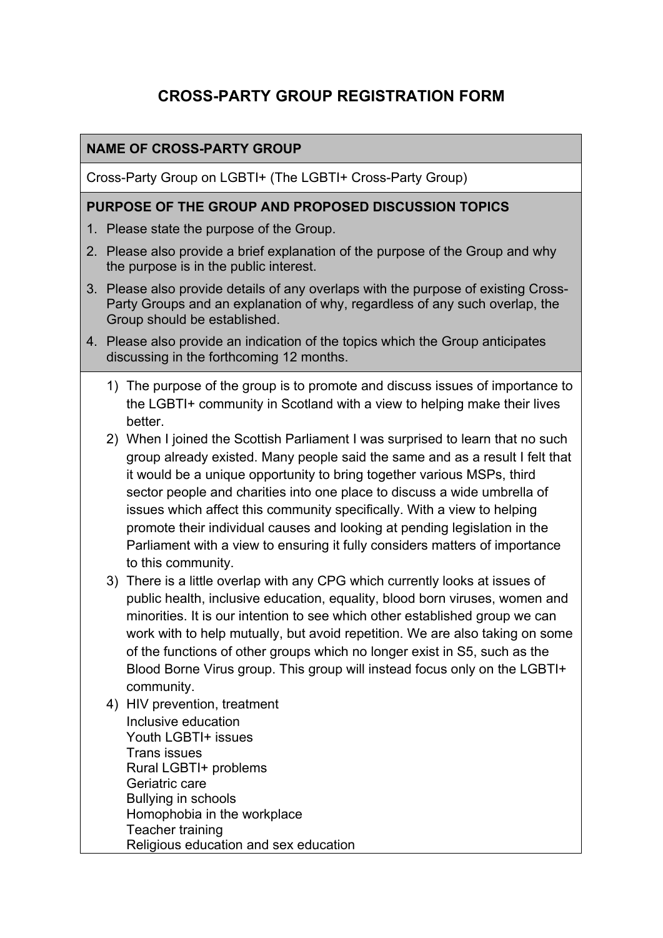# **CROSS-PARTY GROUP REGISTRATION FORM**

#### **NAME OF CROSS-PARTY GROUP**

Cross-Party Group on LGBTI+ (The LGBTI+ Cross-Party Group)

#### **PURPOSE OF THE GROUP AND PROPOSED DISCUSSION TOPICS**

- 1. Please state the purpose of the Group.
- 2. Please also provide a brief explanation of the purpose of the Group and why the purpose is in the public interest.
- 3. Please also provide details of any overlaps with the purpose of existing Cross-Party Groups and an explanation of why, regardless of any such overlap, the Group should be established.
- 4. Please also provide an indication of the topics which the Group anticipates discussing in the forthcoming 12 months.
	- 1) The purpose of the group is to promote and discuss issues of importance to the LGBTI+ community in Scotland with a view to helping make their lives better.
	- 2) When I joined the Scottish Parliament I was surprised to learn that no such group already existed. Many people said the same and as a result I felt that it would be a unique opportunity to bring together various MSPs, third sector people and charities into one place to discuss a wide umbrella of issues which affect this community specifically. With a view to helping promote their individual causes and looking at pending legislation in the Parliament with a view to ensuring it fully considers matters of importance to this community.
	- 3) There is a little overlap with any CPG which currently looks at issues of public health, inclusive education, equality, blood born viruses, women and minorities. It is our intention to see which other established group we can work with to help mutually, but avoid repetition. We are also taking on some of the functions of other groups which no longer exist in S5, such as the Blood Borne Virus group. This group will instead focus only on the LGBTI+ community.
	- 4) HIV prevention, treatment Inclusive education Youth LGBTI+ issues Trans issues Rural LGBTI+ problems Geriatric care Bullying in schools Homophobia in the workplace Teacher training Religious education and sex education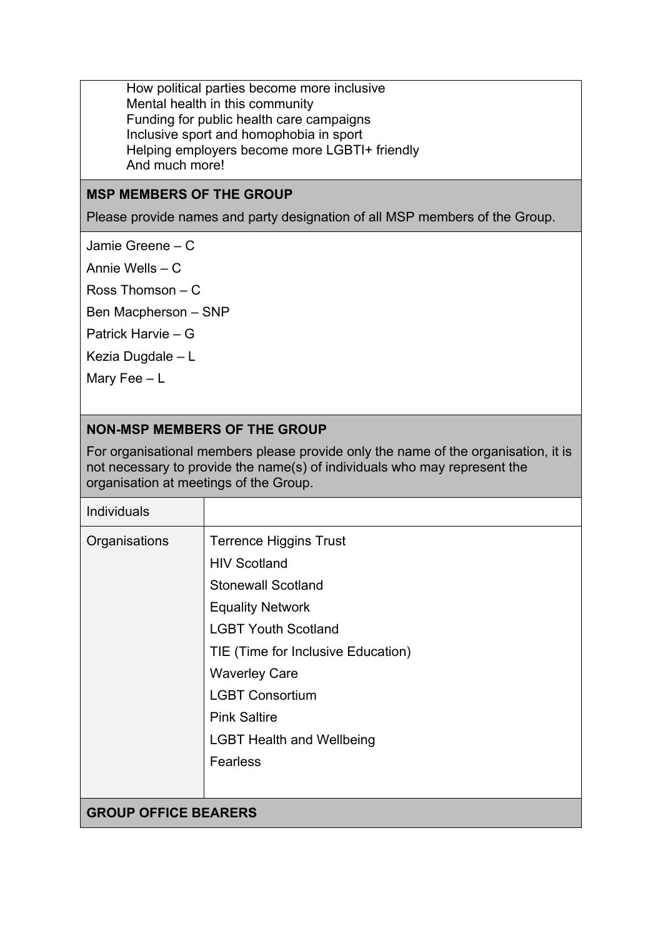How political parties become more inclusive Mental health in this community Funding for public health care campaigns Inclusive sport and homophobia in sport Helping employers become more LGBTI+ friendly And much more!

#### **MSP MEMBERS OF THE GROUP**

Please provide names and party designation of all MSP members of the Group.

Jamie Greene – C

Annie Wells – C

Ross Thomson – C

Ben Macpherson – SNP

Patrick Harvie – G

Kezia Dugdale – L

Mary Fee – L

#### **NON-MSP MEMBERS OF THE GROUP**

For organisational members please provide only the name of the organisation, it is not necessary to provide the name(s) of individuals who may represent the organisation at meetings of the Group.

| Organisations               | <b>Terrence Higgins Trust</b>      |
|-----------------------------|------------------------------------|
|                             | <b>HIV Scotland</b>                |
|                             | <b>Stonewall Scotland</b>          |
|                             | <b>Equality Network</b>            |
|                             | <b>LGBT Youth Scotland</b>         |
|                             | TIE (Time for Inclusive Education) |
|                             | <b>Waverley Care</b>               |
|                             | <b>LGBT Consortium</b>             |
|                             | <b>Pink Saltire</b>                |
|                             | <b>LGBT Health and Wellbeing</b>   |
|                             | Fearless                           |
|                             |                                    |
| <b>GROUP OFFICE BEARERS</b> |                                    |